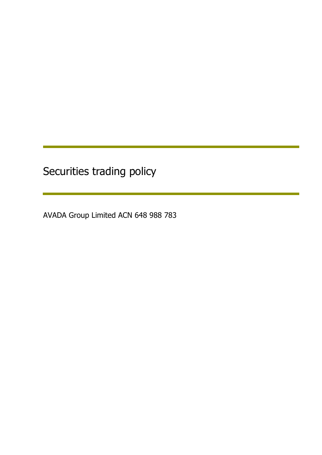Securities trading policy

AVADA Group Limited ACN 648 988 783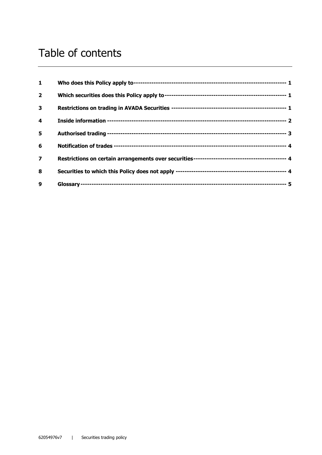# Table of contents

| 1                       |  |
|-------------------------|--|
| $\overline{2}$          |  |
| 3                       |  |
| 4                       |  |
| 5                       |  |
| 6                       |  |
| $\overline{\mathbf{z}}$ |  |
| 8                       |  |
| 9                       |  |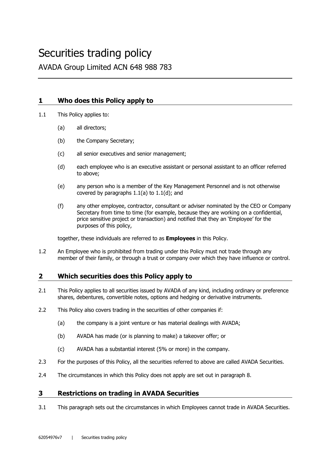## Securities trading policy

AVADA Group Limited ACN 648 988 783

## **1 Who does this Policy apply to**

1.1 This Policy applies to:

- (a) all directors;
- (b) the Company Secretary;
- (c) all senior executives and senior management;
- (d) each employee who is an executive assistant or personal assistant to an officer referred to above;
- (e) any person who is a member of the Key Management Personnel and is not otherwise covered by paragraphs 1.1(a) to 1.1(d); and
- (f) any other employee, contractor, consultant or adviser nominated by the CEO or Company Secretary from time to time (for example, because they are working on a confidential, price sensitive project or transaction) and notified that they an 'Employee' for the purposes of this policy,

together, these individuals are referred to as **Employees** in this Policy.

1.2 An Employee who is prohibited from trading under this Policy must not trade through any member of their family, or through a trust or company over which they have influence or control.

## **2 Which securities does this Policy apply to**

- 2.1 This Policy applies to all securities issued by AVADA of any kind, including ordinary or preference shares, debentures, convertible notes, options and hedging or derivative instruments.
- 2.2 This Policy also covers trading in the securities of other companies if:
	- (a) the company is a joint venture or has material dealings with AVADA;
	- (b) AVADA has made (or is planning to make) a takeover offer; or
	- (c) AVADA has a substantial interest (5% or more) in the company.
- 2.3 For the purposes of this Policy, all the securities referred to above are called AVADA Securities.
- 2.4 The circumstances in which this Policy does not apply are set out in paragraph 8.

## **3 Restrictions on trading in AVADA Securities**

3.1 This paragraph sets out the circumstances in which Employees cannot trade in AVADA Securities.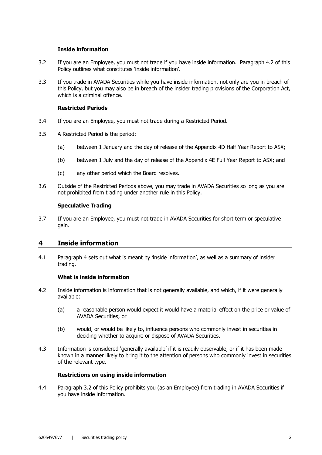#### **Inside information**

- 3.2 If you are an Employee, you must not trade if you have inside information. Paragraph 4.2 of this Policy outlines what constitutes 'inside information'.
- 3.3 If you trade in AVADA Securities while you have inside information, not only are you in breach of this Policy, but you may also be in breach of the insider trading provisions of the Corporation Act, which is a criminal offence.

#### **Restricted Periods**

- 3.4 If you are an Employee, you must not trade during a Restricted Period.
- 3.5 A Restricted Period is the period:
	- (a) between 1 January and the day of release of the Appendix 4D Half Year Report to ASX;
	- (b) between 1 July and the day of release of the Appendix 4E Full Year Report to ASX; and
	- (c) any other period which the Board resolves.
- 3.6 Outside of the Restricted Periods above, you may trade in AVADA Securities so long as you are not prohibited from trading under another rule in this Policy.

#### **Speculative Trading**

3.7 If you are an Employee, you must not trade in AVADA Securities for short term or speculative gain.

## **4 Inside information**

4.1 Paragraph 4 sets out what is meant by 'inside information', as well as a summary of insider trading.

#### **What is inside information**

- 4.2 Inside information is information that is not generally available, and which, if it were generally available:
	- (a) a reasonable person would expect it would have a material effect on the price or value of AVADA Securities; or
	- (b) would, or would be likely to, influence persons who commonly invest in securities in deciding whether to acquire or dispose of AVADA Securities.
- 4.3 Information is considered 'generally available' if it is readily observable, or if it has been made known in a manner likely to bring it to the attention of persons who commonly invest in securities of the relevant type.

#### **Restrictions on using inside information**

4.4 Paragraph 3.2 of this Policy prohibits you (as an Employee) from trading in AVADA Securities if you have inside information.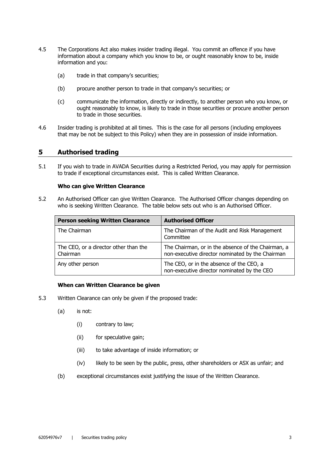- 4.5 The Corporations Act also makes insider trading illegal. You commit an offence if you have information about a company which you know to be, or ought reasonably know to be, inside information and you:
	- (a) trade in that company's securities;
	- (b) procure another person to trade in that company's securities; or
	- (c) communicate the information, directly or indirectly, to another person who you know, or ought reasonably to know, is likely to trade in those securities or procure another person to trade in those securities.
- 4.6 Insider trading is prohibited at all times. This is the case for all persons (including employees that may be not be subject to this Policy) when they are in possession of inside information.

#### **5 Authorised trading**

5.1 If you wish to trade in AVADA Securities during a Restricted Period, you may apply for permission to trade if exceptional circumstances exist. This is called Written Clearance.

#### **Who can give Written Clearance**

5.2 An Authorised Officer can give Written Clearance. The Authorised Officer changes depending on who is seeking Written Clearance. The table below sets out who is an Authorised Officer.

| <b>Person seeking Written Clearance</b>           | <b>Authorised Officer</b>                                                                              |
|---------------------------------------------------|--------------------------------------------------------------------------------------------------------|
| The Chairman                                      | The Chairman of the Audit and Risk Management<br>Committee                                             |
| The CEO, or a director other than the<br>Chairman | The Chairman, or in the absence of the Chairman, a<br>non-executive director nominated by the Chairman |
| Any other person                                  | The CEO, or in the absence of the CEO, a<br>non-executive director nominated by the CEO                |

#### **When can Written Clearance be given**

- 5.3 Written Clearance can only be given if the proposed trade:
	- (a) is not:
		- (i) contrary to law;
		- (ii) for speculative gain;
		- (iii) to take advantage of inside information; or
		- (iv) likely to be seen by the public, press, other shareholders or ASX as unfair; and
	- (b) exceptional circumstances exist justifying the issue of the Written Clearance.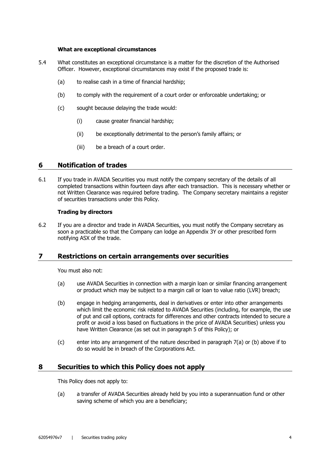#### **What are exceptional circumstances**

- 5.4 What constitutes an exceptional circumstance is a matter for the discretion of the Authorised Officer. However, exceptional circumstances may exist if the proposed trade is:
	- (a) to realise cash in a time of financial hardship;
	- (b) to comply with the requirement of a court order or enforceable undertaking; or
	- (c) sought because delaying the trade would:
		- (i) cause greater financial hardship;
		- (ii) be exceptionally detrimental to the person's family affairs; or
		- (iii) be a breach of a court order.

#### **6 Notification of trades**

6.1 If you trade in AVADA Securities you must notify the company secretary of the details of all completed transactions within fourteen days after each transaction. This is necessary whether or not Written Clearance was required before trading. The Company secretary maintains a register of securities transactions under this Policy.

#### **Trading by directors**

6.2 If you are a director and trade in AVADA Securities, you must notify the Company secretary as soon a practicable so that the Company can lodge an Appendix 3Y or other prescribed form notifying ASX of the trade.

#### **7 Restrictions on certain arrangements over securities**

You must also not:

- (a) use AVADA Securities in connection with a margin loan or similar financing arrangement or product which may be subject to a margin call or loan to value ratio (LVR) breach;
- (b) engage in hedging arrangements, deal in derivatives or enter into other arrangements which limit the economic risk related to AVADA Securities (including, for example, the use of put and call options, contracts for differences and other contracts intended to secure a profit or avoid a loss based on fluctuations in the price of AVADA Securities) unless you have Written Clearance (as set out in paragraph 5 of this Policy); or
- (c) enter into any arrangement of the nature described in paragraph 7(a) or (b) above if to do so would be in breach of the Corporations Act.

## **8 Securities to which this Policy does not apply**

This Policy does not apply to:

(a) a transfer of AVADA Securities already held by you into a superannuation fund or other saving scheme of which you are a beneficiary;